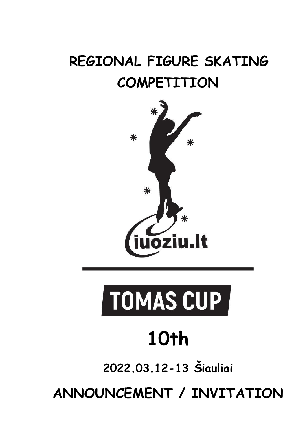# **REGIONAL FIGURE SKATING COMPETITION**



# TOMAS CUP

# **10th**

**2022.03.12-13 Šiauliai**

**ANNOUNCEMENT / INVITATION**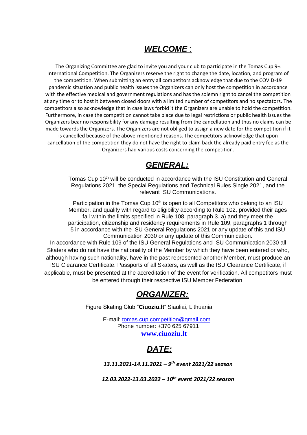#### *WELCOME* :

The Organizing Committee are glad to invite you and your club to participate in the Tomas Cup  $9<sub>th</sub>$ International Competition. The Organizers reserve the right to change the date, location, and program of the competition. When submitting an entry all competitors acknowledge that due to the COVID-19 pandemic situation and public health issues the Organizers can only host the competition in accordance with the effective medical and government regulations and has the solemn right to cancel the competition at any time or to host it between closed doors with a limited number of competitors and no spectators. The competitors also acknowledge that in case laws forbid it the Organizers are unable to hold the competition. Furthermore, in case the competition cannot take place due to legal restrictions or public health issues the Organizers bear no responsibility for any damage resulting from the cancellation and thus no claims can be made towards the Organizers. The Organizers are not obliged to assign a new date for the competition if it is cancelled because of the above-mentioned reasons. The competitors acknowledge that upon cancellation of the competition they do not have the right to claim back the already paid entry fee as the Organizers had various costs concerning the competition.

#### *GENERAL:*

Tomas Cup 10<sup>th</sup> will be conducted in accordance with the ISU Constitution and General Regulations 2021, the Special Regulations and Technical Rules Single 2021, and the relevant ISU Communications.

Participation in the Tomas Cup 10<sup>th</sup> is open to all Competitors who belong to an ISU Member, and qualify with regard to eligibility according to Rule 102, provided their ages fall within the limits specified in Rule 108, paragraph 3. a) and they meet the participation, citizenship and residency requirements in Rule 109, paragraphs 1 through 5 in accordance with the ISU General Regulations 2021 or any update of this and ISU Communication 2030 or any update of this Communication. In accordance with Rule 109 of the ISU General Regulations and ISU Communication 2030 all Skaters who do not have the nationality of the Member by which they have been entered or who, although having such nationality, have in the past represented another Member, must produce an

ISU Clearance Certificate. Passports of all Skaters, as well as the ISU Clearance Certificate, if applicable, must be presented at the accreditation of the event for verification. All competitors must be entered through their respective ISU Member Federation.

#### *ORGANIZER:*

Figure Skating Club "**Ciuoziu.lt**",Siauliai, Lithuania

 E-mail: tomas.cup.competition@gmail.com Phone number: +370 625 67911 **[www.ciuoziu.lt](http://www.kristalice.lv/)**



*13.11.2021-14.11.2021 – 9 th event 2021/22 season*

*12.03.2022-13.03.2022 – 10th event 2021/22 season*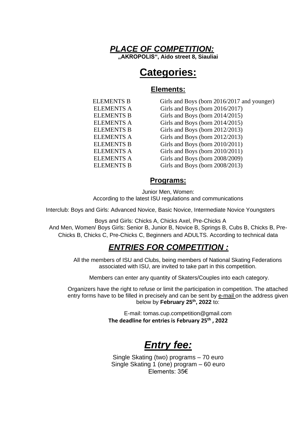

# **Categories:**

#### **Elements:**

ELEMENTS B Girls and Boys (born 2016/2017 and younger) ELEMENTS A Girls and Boys (born 2016/2017) ELEMENTS B Girls and Boys (born 2014/2015) ELEMENTS A Girls and Boys (born 2014/2015) ELEMENTS B Girls and Boys (born 2012/2013) ELEMENTS A Girls and Boys (born 2012/2013) ELEMENTS B Girls and Boys (born 2010/2011) ELEMENTS A Girls and Boys (born 2010/2011) ELEMENTS A Girls and Boys (born 2008/2009) ELEMENTS B Girls and Boys (born 2008/2013)

#### **Programs:**

Junior Men, Women: According to the latest ISU regulations and communications

Interclub: Boys and Girls: Advanced Novice, Basic Novice, Intermediate Novice Youngsters

Boys and Girls: Chicks A, Chicks Axel, Pre-Chicks A And Men, Women/ Boys Girls: Senior B, Junior B, Novice B, Springs B, Cubs B, Chicks B, Pre-Chicks B, Chicks C, Pre-Chicks C, Beginners and ADULTS. According to technical data

#### *ENTRIES FOR COMPETITION :*

All the members of ISU and Clubs, being members of National Skating Federations associated with ISU, are invited to take part in this competition.

Members can enter any quantity of Skaters/Couples into each category.

Organizers have the right to refuse or limit the participation in competition. The attached entry forms have to be filled in precisely and can be sent by e-mail on the address given below by **February 25th, 2022** to:

> E-mail: tomas.cup.competition@gmail.com **The deadline for entries is February 25th , 2022**

# *Entry fee:*

Single Skating (two) programs – 70 euro Single Skating 1 (one) program – 60 euro Elements: 35€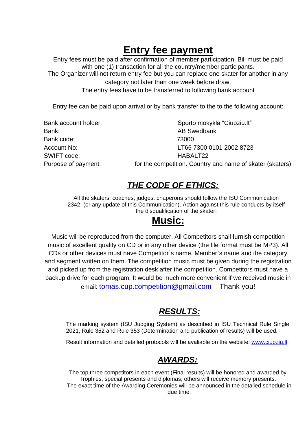# **Entry fee payment**

Entry fees must be paid after confirmation of member participation. Bill must be paid with one (1) transaction for all the country/member participants.

The Organizer will not return entry fee but you can replace one skater for another in any category not later than one week before draw.

The entry fees have to be transferred to following bank account

Entry fee can be paid upon arrival or by bank transfer to the to the following account:

| Sporto mokykla "Ciuoziu.lt"                               |
|-----------------------------------------------------------|
| <b>AB Swedbank</b>                                        |
| 73000                                                     |
| LT65 7300 0101 2002 8723                                  |
| HABALT22                                                  |
| for the competition. Country and name of skater (skaters) |
|                                                           |

### *THE CODE OF ETHICS:*

All the skaters, coaches, judges, chaperons should follow the ISU Communication 2342, (or any update of this Communication). Action against this rule conducts by itself the disqualification of the skater.

# **Music:**

Music will be reproduced from the computer. All Competitors shall furnish competition music of excellent quality on CD or in any other device (the file format must be MP3). All CDs or other devices must have Competitor`s name, Member`s name and the category and segment written on them. The competition music must be given during the registration and picked up from the registration desk after the competition. Competitors must have a backup drive for each program. It would be much more convenient if we received music in email: tomas.cup.competition@gmail.com Thank you!

## *RESULTS:*

The marking system (ISU Judging System) as described in ISU Technical Rule Single 2021, Rule 352 and Rule 353 (Determination and publication of results) will be used.

Result information and detailed protocols will be avaliable on the website: [www.ciuoziu.lt](http://www.ciuoziu.lt/)

#### *AWARDS:*

The top three competitors in each event (Final results) will be honored and awarded by Trophies, special presents and diplomas; others will receive memory presents. The exact time of the Awarding Ceremonies will be announced in the detailed schedule in due time.